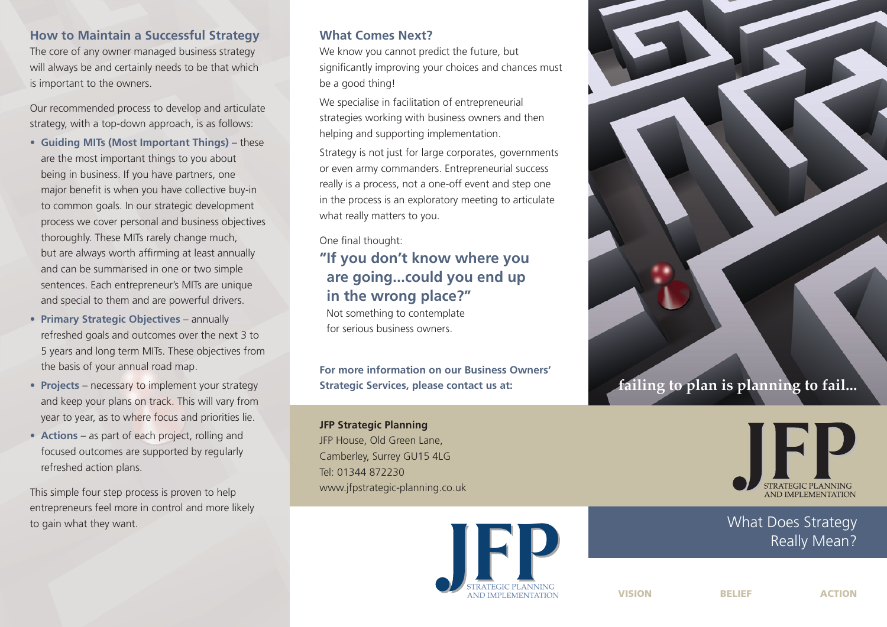### **How to Maintain a Successful Strategy**

The core of any owner managed business strategy will always be and certainly needs to be that which is important to the owners.

Our recommended process to develop and articulate strategy, with a top-down approach, is as follows:

- **Guiding MITs (Most Important Things)** these are the most important things to you about being in business. If you have partners, one major benefit is when you have collective buy-in to common goals. In our strategic development process we cover personal and business objectives thoroughly. These MITs rarely change much, but are always worth affirming at least annually and can be summarised in one or two simple sentences. Each entrepreneur's MITs are unique and special to them and are powerful drivers.
- **Primary Strategic Objectives** annually refreshed goals and outcomes over the next 3 to 5 years and long term MITs. These objectives from the basis of your annual road map.
- **Projects** necessary to implement your strategy and keep your plans on track. This will vary from year to year, as to where focus and priorities lie.
- **Actions** as part of each project, rolling and focused outcomes are supported by regularly refreshed action plans.

This simple four step process is proven to help entrepreneurs feel more in control and more likely to gain what they want.

## **What Comes Next?**

We know you cannot predict the future, but significantly improving your choices and chances must be a good thing!

We specialise in facilitation of entrepreneurial strategies working with business owners and then helping and supporting implementation.

Strategy is not just for large corporates, governments or even army commanders. Entrepreneurial success really is a process, not a one-off event and step one in the process is an exploratory meeting to articulate what really matters to you.

#### One final thought:

**" If you don't know where you are going...could you end up in the wrong place?"**

Not something to contemplate for serious business owners.

**For more information on our Business Owners' Strategic Services, please contact us at:**

**JFP Strategic Planning** JFP House, Old Green Lane, Camberley, Surrey GU15 4LG Tel: 01344 872230 www.jfpstrategic-planning.co.uk







What Does Strategy Really Mean?

**VISION BELIEF ACTION**